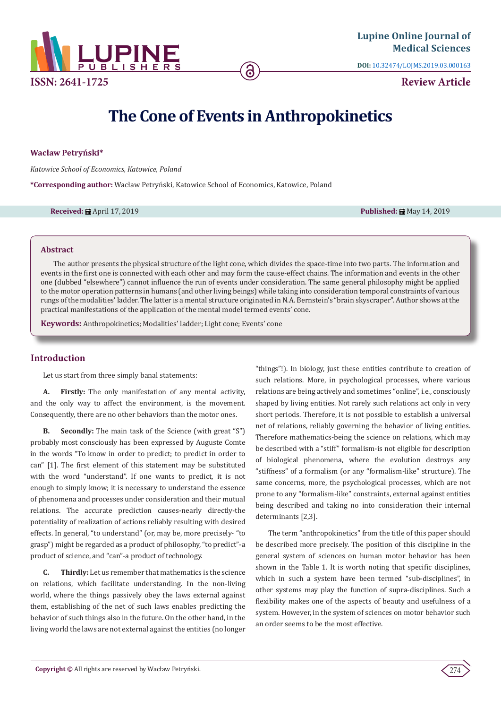

**DOI:** [10.32474/LOJMS.2019.03.000163](http://dx.doi.org/10.32474/LOJMS.2019.03.000163)

**Review Article**

# **The Cone of Events in Anthropokinetics**

# **Wacław Petryński\***

*Katowice School of Economics, Katowice, Poland*

**\*Corresponding author:** Wacław Petryński, Katowice School of Economics, Katowice, Poland

#### **Received:** 的 April 17, 2019 **Published:** 的 April 17, 2019 **Published:** April 17, 2019 **Published:** April 17, 2019

### **Abstract**

The author presents the physical structure of the light cone, which divides the space-time into two parts. The information and events in the first one is connected with each other and may form the cause-effect chains. The information and events in the other one (dubbed "elsewhere") cannot influence the run of events under consideration. The same general philosophy might be applied to the motor operation patterns in humans (and other living beings) while taking into consideration temporal constraints of various rungs of the modalities' ladder. The latter is a mental structure originated in N.A. Bernstein's "brain skyscraper". Author shows at the practical manifestations of the application of the mental model termed events' cone.

**Keywords:** Anthropokinetics; Modalities' ladder; Light cone; Events' cone

# **Introduction**

Let us start from three simply banal statements:

**A. Firstly:** The only manifestation of any mental activity, and the only way to affect the environment, is the movement. Consequently, there are no other behaviors than the motor ones.

**B. Secondly:** The main task of the Science (with great "S") probably most consciously has been expressed by Auguste Comte in the words "To know in order to predict; to predict in order to can" [1]. The first element of this statement may be substituted with the word "understand". If one wants to predict, it is not enough to simply know; it is necessary to understand the essence of phenomena and processes under consideration and their mutual relations. The accurate prediction causes-nearly directly-the potentiality of realization of actions reliably resulting with desired effects. In general, "to understand" (or, may be, more precisely- "to grasp") might be regarded as a product of philosophy, "to predict"-a product of science, and "can"-a product of technology.

**C. Thirdly:** Let us remember that mathematics is the science on relations, which facilitate understanding. In the non-living world, where the things passively obey the laws external against them, establishing of the net of such laws enables predicting the behavior of such things also in the future. On the other hand, in the living world the laws are not external against the entities (no longer

"things"!). In biology, just these entities contribute to creation of such relations. More, in psychological processes, where various relations are being actively and sometimes "online", i.e., consciously shaped by living entities. Not rarely such relations act only in very short periods. Therefore, it is not possible to establish a universal net of relations, reliably governing the behavior of living entities. Therefore mathematics-being the science on relations, which may be described with a "stiff" formalism-is not eligible for description of biological phenomena, where the evolution destroys any "stiffness" of a formalism (or any "formalism-like" structure). The same concerns, more, the psychological processes, which are not prone to any "formalism-like" constraints, external against entities being described and taking no into consideration their internal determinants [2,3].

The term "anthropokinetics" from the title of this paper should be described more precisely. The position of this discipline in the general system of sciences on human motor behavior has been shown in the Table 1. It is worth noting that specific disciplines, which in such a system have been termed "sub-disciplines", in other systems may play the function of supra-disciplines. Such a flexibility makes one of the aspects of beauty and usefulness of a system. However, in the system of sciences on motor behavior such an order seems to be the most effective.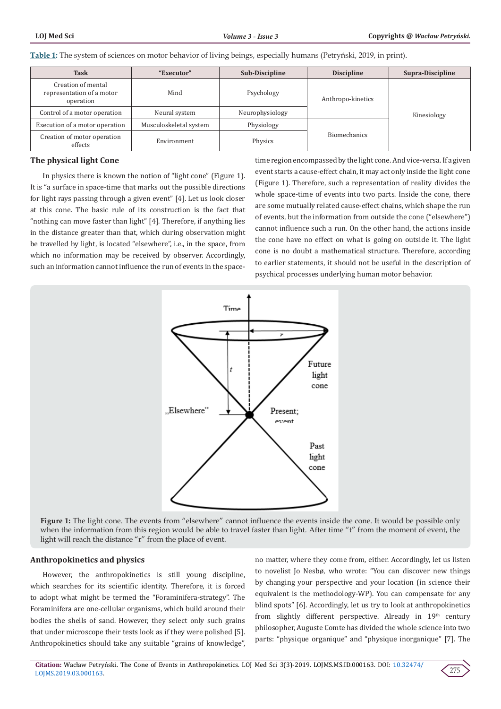**Table 1:** The system of sciences on motor behavior of living beings, especially humans (Petryński, 2019, in print).

| <b>Task</b>                                                  | "Executor"             | <b>Sub-Discipline</b> | <b>Discipline</b>   | Supra-Discipline |
|--------------------------------------------------------------|------------------------|-----------------------|---------------------|------------------|
| Creation of mental<br>representation of a motor<br>operation | Mind                   | Psychology            | Anthropo-kinetics   | Kinesiology      |
| Control of a motor operation                                 | Neural system          | Neurophysiology       |                     |                  |
| Execution of a motor operation                               | Musculoskeletal system | Physiology            |                     |                  |
| Creation of motor operation<br>effects                       | Environment            | Physics               | <b>Biomechanics</b> |                  |

#### **The physical light Cone**

In physics there is known the notion of "light cone" (Figure 1). It is "a surface in space-time that marks out the possible directions for light rays passing through a given event" [4]. Let us look closer at this cone. The basic rule of its construction is the fact that "nothing can move faster than light" [4]. Therefore, if anything lies in the distance greater than that, which during observation might be travelled by light, is located "elsewhere", i.e., in the space, from which no information may be received by observer. Accordingly, such an information cannot influence the run of events in the spacetime region encompassed by the light cone. And vice-versa. If a given event starts a cause-effect chain, it may act only inside the light cone (Figure 1). Therefore, such a representation of reality divides the whole space-time of events into two parts. Inside the cone, there are some mutually related cause-effect chains, which shape the run of events, but the information from outside the cone ("elsewhere") cannot influence such a run. On the other hand, the actions inside the cone have no effect on what is going on outside it. The light cone is no doubt a mathematical structure. Therefore, according to earlier statements, it should not be useful in the description of psychical processes underlying human motor behavior.



**Figure 1:** The light cone. The events from "elsewhere" cannot influence the events inside the cone. It would be possible only when the information from this region would be able to travel faster than light. After time "t" from the moment of event, the light will reach the distance "r" from the place of event.

#### **Anthropokinetics and physics**

However, the anthropokinetics is still young discipline, which searches for its scientific identity. Therefore, it is forced to adopt what might be termed the "Foraminifera-strategy". The Foraminifera are one-cellular organisms, which build around their bodies the shells of sand. However, they select only such grains that under microscope their tests look as if they were polished [5]. Anthropokinetics should take any suitable "grains of knowledge",

no matter, where they come from, either. Accordingly, let us listen to novelist Jo Nesbø, who wrote: "You can discover new things by changing your perspective and your location (in science their equivalent is the methodology-WP). You can compensate for any blind spots" [6]. Accordingly, let us try to look at anthropokinetics from slightly different perspective. Already in  $19<sup>th</sup>$  century philosopher, Auguste Comte has divided the whole science into two parts: "physique organique" and "physique inorganique" [7]. The

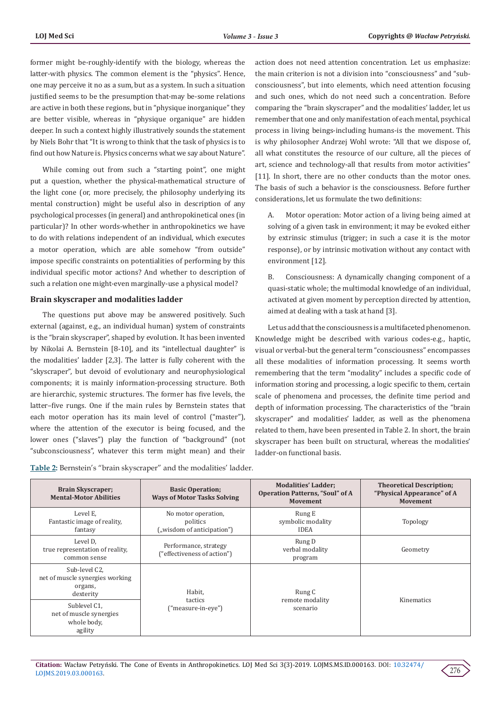former might be-roughly-identify with the biology, whereas the latter-with physics. The common element is the "physics". Hence, one may perceive it no as a sum, but as a system. In such a situation justified seems to be the presumption that-may be-some relations are active in both these regions, but in "physique inorganique" they are better visible, whereas in "physique organique" are hidden deeper. In such a context highly illustratively sounds the statement by Niels Bohr that "It is wrong to think that the task of physics is to find out how Nature is. Physics concerns what we say about Nature".

While coming out from such a "starting point", one might put a question, whether the physical-mathematical structure of the light cone (or, more precisely, the philosophy underlying its mental construction) might be useful also in description of any psychological processes (in general) and anthropokinetical ones (in particular)? In other words-whether in anthropokinetics we have to do with relations independent of an individual, which executes a motor operation, which are able somehow "from outside" impose specific constraints on potentialities of performing by this individual specific motor actions? And whether to description of such a relation one might-even marginally-use a physical model?

#### **Brain skyscraper and modalities ladder**

The questions put above may be answered positively. Such external (against, e.g., an individual human) system of constraints is the "brain skyscraper", shaped by evolution. It has been invented by Nikolai A. Bernstein [8-10], and its "intellectual daughter" is the modalities' ladder [2,3]. The latter is fully coherent with the "skyscraper", but devoid of evolutionary and neurophysiological components; it is mainly information-processing structure. Both are hierarchic, systemic structures. The former has five levels, the latter–five rungs. One if the main rules by Bernstein states that each motor operation has its main level of control ("master"), where the attention of the executor is being focused, and the lower ones ("slaves") play the function of "background" (not "subconsciousness", whatever this term might mean) and their

**Table 2:** Bernstein's "brain skyscraper" and the modalities' ladder.

action does not need attention concentration. Let us emphasize: the main criterion is not a division into "consciousness" and "subconsciousness", but into elements, which need attention focusing and such ones, which do not need such a concentration. Before comparing the "brain skyscraper" and the modalities' ladder, let us remember that one and only manifestation of each mental, psychical process in living beings-including humans-is the movement. This is why philosopher Andrzej Wohl wrote: "All that we dispose of, all what constitutes the resource of our culture, all the pieces of art, science and technology-all that results from motor activities" [11]. In short, there are no other conducts than the motor ones. The basis of such a behavior is the consciousness. Before further considerations, let us formulate the two definitions:

A. Motor operation: Motor action of a living being aimed at solving of a given task in environment; it may be evoked either by extrinsic stimulus (trigger; in such a case it is the motor response), or by intrinsic motivation without any contact with environment [12].

B. Consciousness: A dynamically changing component of a quasi-static whole; the multimodal knowledge of an individual, activated at given moment by perception directed by attention, aimed at dealing with a task at hand [3].

Let us add that the consciousness is a multifaceted phenomenon. Knowledge might be described with various codes-e.g., haptic, visual or verbal-but the general term "consciousness" encompasses all these modalities of information processing. It seems worth remembering that the term "modality" includes a specific code of information storing and processing, a logic specific to them, certain scale of phenomena and processes, the definite time period and depth of information processing. The characteristics of the "brain skyscraper" and modalities' ladder, as well as the phenomena related to them, have been presented in Table 2. In short, the brain skyscraper has been built on structural, whereas the modalities' ladder-on functional basis.

| <b>Brain Skyscraper;</b><br><b>Mental-Motor Abilities</b>                | <b>Basic Operation;</b><br><b>Ways of Motor Tasks Solving</b> | <b>Modalities' Ladder:</b><br><b>Operation Patterns, "Soul" of A</b><br><b>Movement</b> | <b>Theoretical Description;</b><br>"Physical Appearance" of A<br><b>Movement</b> |
|--------------------------------------------------------------------------|---------------------------------------------------------------|-----------------------------------------------------------------------------------------|----------------------------------------------------------------------------------|
| Level E.<br>Fantastic image of reality,<br>fantasy                       | No motor operation,<br>politics<br>("wisdom of anticipation") | Rung E<br>symbolic modality<br><b>IDEA</b>                                              | Topology                                                                         |
| Level D.<br>true representation of reality,<br>common sense              | Performance, strategy<br>("effectiveness of action")          | Rung D<br>verbal modality<br>program                                                    | Geometry                                                                         |
| Sub-level C2,<br>net of muscle synergies working<br>organs,<br>dexterity | Habit,                                                        | Rung C                                                                                  |                                                                                  |
| Sublevel C1.<br>net of muscle synergies<br>whole body,<br>agility        | tactics<br>("measure-in-eye")                                 | remote modality<br>scenario                                                             | Kinematics                                                                       |

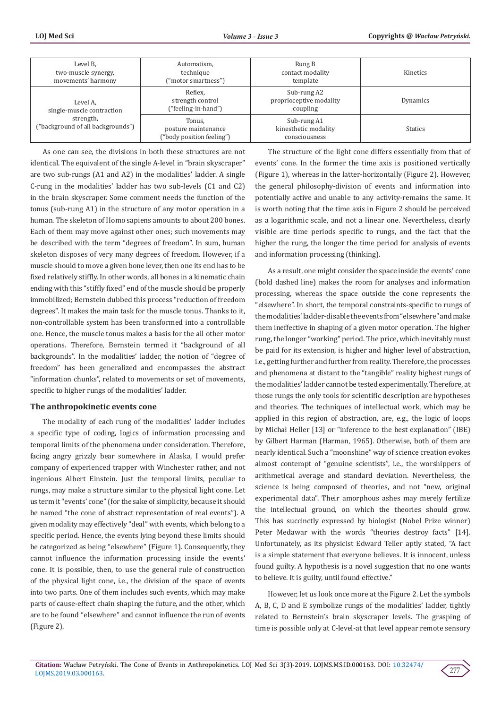| Level B.<br>two-muscle synergy,<br>movements' harmony                                   | Automatism,<br>technique<br>("motor smartness")            | Rung B<br>contact modality<br>template               | Kinetics       |
|-----------------------------------------------------------------------------------------|------------------------------------------------------------|------------------------------------------------------|----------------|
| Level A.<br>single-muscle contraction<br>strength,<br>("background of all backgrounds") | Reflex.<br>strength control<br>("feeling-in-hand")         | Sub-rung A2<br>proprioceptive modality<br>coupling   | Dynamics       |
|                                                                                         | Tonus.<br>posture maintenance<br>("body position feeling") | Sub-rung A1<br>kinesthetic modality<br>consciousness | <b>Statics</b> |

As one can see, the divisions in both these structures are not identical. The equivalent of the single A-level in "brain skyscraper" are two sub-rungs (A1 and A2) in the modalities' ladder. A single C-rung in the modalities' ladder has two sub-levels (C1 and C2) in the brain skyscraper. Some comment needs the function of the tonus (sub-rung A1) in the structure of any motor operation in a human. The skeleton of Homo sapiens amounts to about 200 bones. Each of them may move against other ones; such movements may be described with the term "degrees of freedom". In sum, human skeleton disposes of very many degrees of freedom. However, if a muscle should to move a given bone lever, then one its end has to be fixed relatively stiffly. In other words, all bones in a kinematic chain ending with this "stiffly fixed" end of the muscle should be properly immobilized; Bernstein dubbed this process "reduction of freedom degrees". It makes the main task for the muscle tonus. Thanks to it, non-controllable system has been transformed into a controllable one. Hence, the muscle tonus makes a basis for the all other motor operations. Therefore, Bernstein termed it "background of all backgrounds". In the modalities' ladder, the notion of "degree of freedom" has been generalized and encompasses the abstract "information chunks", related to movements or set of movements, specific to higher rungs of the modalities' ladder.

### **The anthropokinetic events cone**

The modality of each rung of the modalities' ladder includes a specific type of coding, logics of information processing and temporal limits of the phenomena under consideration. Therefore, facing angry grizzly bear somewhere in Alaska, I would prefer company of experienced trapper with Winchester rather, and not ingenious Albert Einstein. Just the temporal limits, peculiar to rungs, may make a structure similar to the physical light cone. Let us term it "events' cone" (for the sake of simplicity, because it should be named "the cone of abstract representation of real events"). A given modality may effectively "deal" with events, which belong to a specific period. Hence, the events lying beyond these limits should be categorized as being "elsewhere" (Figure 1). Consequently, they cannot influence the information processing inside the events' cone. It is possible, then, to use the general rule of construction of the physical light cone, i.e., the division of the space of events into two parts. One of them includes such events, which may make parts of cause-effect chain shaping the future, and the other, which are to be found "elsewhere" and cannot influence the run of events (Figure 2).

The structure of the light cone differs essentially from that of events' cone. In the former the time axis is positioned vertically (Figure 1), whereas in the latter-horizontally (Figure 2). However, the general philosophy-division of events and information into potentially active and unable to any activity-remains the same. It is worth noting that the time axis in Figure 2 should be perceived as a logarithmic scale, and not a linear one. Nevertheless, clearly visible are time periods specific to rungs, and the fact that the higher the rung, the longer the time period for analysis of events and information processing (thinking).

As a result, one might consider the space inside the events' cone (bold dashed line) makes the room for analyses and information processing, whereas the space outside the cone represents the "elsewhere". In short, the temporal constraints-specific to rungs of the modalities' ladder-disable the events from "elsewhere" and make them ineffective in shaping of a given motor operation. The higher rung, the longer "working" period. The price, which inevitably must be paid for its extension, is higher and higher level of abstraction, i.e., getting further and further from reality. Therefore, the processes and phenomena at distant to the "tangible" reality highest rungs of the modalities' ladder cannot be tested experimentally. Therefore, at those rungs the only tools for scientific description are hypotheses and theories. The techniques of intellectual work, which may be applied in this region of abstraction, are, e.g., the logic of loops by Michał Heller [13] or "inference to the best explanation" (IBE) by Gilbert Harman (Harman, 1965). Otherwise, both of them are nearly identical. Such a "moonshine" way of science creation evokes almost contempt of "genuine scientists", i.e., the worshippers of arithmetical average and standard deviation. Nevertheless, the science is being composed of theories, and not "new, original experimental data". Their amorphous ashes may merely fertilize the intellectual ground, on which the theories should grow. This has succinctly expressed by biologist (Nobel Prize winner) Peter Medawar with the words "theories destroy facts" [14]. Unfortunately, as its physicist Edward Teller aptly stated, "A fact is a simple statement that everyone believes. It is innocent, unless found guilty. A hypothesis is a novel suggestion that no one wants to believe. It is guilty, until found effective."

However, let us look once more at the Figure 2. Let the symbols A, B, C, D and E symbolize rungs of the modalities' ladder, tightly related to Bernstein's brain skyscraper levels. The grasping of time is possible only at C-level-at that level appear remote sensory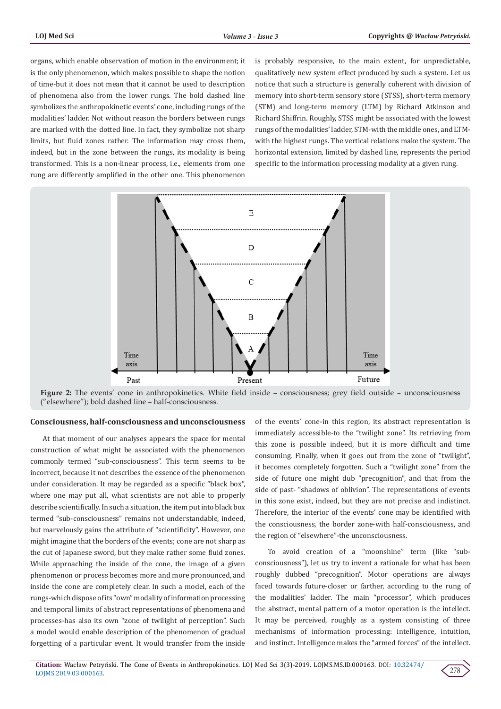organs, which enable observation of motion in the environment; it is the only phenomenon, which makes possible to shape the notion of time-but it does not mean that it cannot be used to description of phenomena also from the lower rungs. The bold dashed line symbolizes the anthropokinetic events' cone, including rungs of the modalities' ladder. Not without reason the borders between rungs are marked with the dotted line. In fact, they symbolize not sharp limits, but fluid zones rather. The information may cross them, indeed, but in the zone between the rungs, its modality is being transformed. This is a non-linear process, i.e., elements from one rung are differently amplified in the other one. This phenomenon

is probably responsive, to the main extent, for unpredictable, qualitatively new system effect produced by such a system. Let us notice that such a structure is generally coherent with division of memory into short-term sensory store (STSS), short-term memory (STM) and long-term memory (LTM) by Richard Atkinson and Richard Shiffrin. Roughly, STSS might be associated with the lowest rungs of the modalities' ladder, STM-with the middle ones, and LTMwith the highest rungs. The vertical relations make the system. The horizontal extension, limited by dashed line, represents the period specific to the information processing modality at a given rung.





#### **Consciousness, half-consciousness and unconsciousness**

At that moment of our analyses appears the space for mental construction of what might be associated with the phenomenon commonly termed "sub-consciousness". This term seems to be incorrect, because it not describes the essence of the phenomenon under consideration. It may be regarded as a specific "black box", where one may put all, what scientists are not able to properly describe scientifically. In such a situation, the item put into black box termed "sub-consciousness" remains not understandable, indeed, but marvelously gains the attribute of "scientificity". However, one might imagine that the borders of the events; cone are not sharp as the cut of Japanese sword, but they make rather some fluid zones. While approaching the inside of the cone, the image of a given phenomenon or process becomes more and more pronounced, and inside the cone are completely clear. In such a model, each of the rungs-which dispose of its "own" modality of information processing and temporal limits of abstract representations of phenomena and processes-has also its own "zone of twilight of perception". Such a model would enable description of the phenomenon of gradual forgetting of a particular event. It would transfer from the inside

of the events' cone-in this region, its abstract representation is immediately accessible-to the "twilight zone". Its retrieving from this zone is possible indeed, but it is more difficult and time consuming. Finally, when it goes out from the zone of "twilight", it becomes completely forgotten. Such a "twilight zone" from the side of future one might dub "precognition", and that from the side of past- "shadows of oblivion". The representations of events in this zone exist, indeed, but they are not precise and indistinct. Therefore, the interior of the events' cone may be identified with the consciousness, the border zone-with half-consciousness, and the region of "elsewhere"-the unconsciousness.

To avoid creation of a "moonshine" term (like "subconsciousness"), let us try to invent a rationale for what has been roughly dubbed "precognition". Motor operations are always faced towards future-closer or farther, according to the rung of the modalities' ladder. The main "processor", which produces the abstract, mental pattern of a motor operation is the intellect. It may be perceived, roughly as a system consisting of three mechanisms of information processing: intelligence, intuition, and instinct. Intelligence makes the "armed forces" of the intellect.

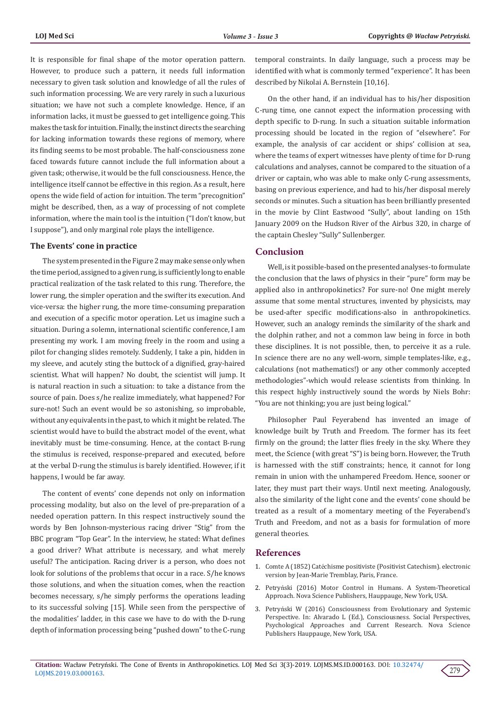It is responsible for final shape of the motor operation pattern. However, to produce such a pattern, it needs full information necessary to given task solution and knowledge of all the rules of such information processing. We are very rarely in such a luxurious situation; we have not such a complete knowledge. Hence, if an information lacks, it must be guessed to get intelligence going. This makes the task for intuition. Finally, the instinct directs the searching for lacking information towards these regions of memory, where its finding seems to be most probable. The half-consciousness zone faced towards future cannot include the full information about a given task; otherwise, it would be the full consciousness. Hence, the intelligence itself cannot be effective in this region. As a result, here opens the wide field of action for intuition. The term "precognition" might be described, then, as a way of processing of not complete information, where the main tool is the intuition ("I don't know, but I suppose"), and only marginal role plays the intelligence.

### **The Events' cone in practice**

The system presented in the Figure 2 may make sense only when the time period, assigned to a given rung, is sufficiently long to enable practical realization of the task related to this rung. Therefore, the lower rung, the simpler operation and the swifter its execution. And vice-versa: the higher rung, the more time-consuming preparation and execution of a specific motor operation. Let us imagine such a situation. During a solemn, international scientific conference, I am presenting my work. I am moving freely in the room and using a pilot for changing slides remotely. Suddenly, I take a pin, hidden in my sleeve, and acutely sting the buttock of a dignified, gray-haired scientist. What will happen? No doubt, the scientist will jump. It is natural reaction in such a situation: to take a distance from the source of pain. Does s/he realize immediately, what happened? For sure-not! Such an event would be so astonishing, so improbable, without any equivalents in the past, to which it might be related. The scientist would have to build the abstract model of the event, what inevitably must be time-consuming. Hence, at the contact B-rung the stimulus is received, response-prepared and executed, before at the verbal D-rung the stimulus is barely identified. However, if it happens, I would be far away.

The content of events' cone depends not only on information processing modality, but also on the level of pre-preparation of a needed operation pattern. In this respect instructively sound the words by Ben Johnson-mysterious racing driver "Stig" from the BBC program "Top Gear". In the interview, he stated: What defines a good driver? What attribute is necessary, and what merely useful? The anticipation. Racing driver is a person, who does not look for solutions of the problems that occur in a race. S/he knows those solutions, and when the situation comes, when the reaction becomes necessary, s/he simply performs the operations leading to its successful solving [15]. While seen from the perspective of the modalities' ladder, in this case we have to do with the D-rung depth of information processing being "pushed down" to the C-rung

temporal constraints. In daily language, such a process may be identified with what is commonly termed "experience". It has been described by Nikolai A. Bernstein [10,16].

On the other hand, if an individual has to his/her disposition C-rung time, one cannot expect the information processing with depth specific to D-rung. In such a situation suitable information processing should be located in the region of "elsewhere". For example, the analysis of car accident or ships' collision at sea, where the teams of expert witnesses have plenty of time for D-rung calculations and analyses, cannot be compared to the situation of a driver or captain, who was able to make only C-rung assessments, basing on previous experience, and had to his/her disposal merely seconds or minutes. Such a situation has been brilliantly presented in the movie by Clint Eastwood "Sully", about landing on 15th January 2009 on the Hudson River of the Airbus 320, in charge of the captain Chesley "Sully" Sullenberger.

# **Conclusion**

Well, is it possible-based on the presented analyses-to formulate the conclusion that the laws of physics in their "pure" form may be applied also in anthropokinetics? For sure-no! One might merely assume that some mental structures, invented by physicists, may be used-after specific modifications-also in anthropokinetics. However, such an analogy reminds the similarity of the shark and the dolphin rather, and not a common law being in force in both these disciplines. It is not possible, then, to perceive it as a rule. In science there are no any well-worn, simple templates-like, e.g., calculations (not mathematics!) or any other commonly accepted methodologies"-which would release scientists from thinking. In this respect highly instructively sound the words by Niels Bohr: "You are not thinking; you are just being logical."

Philosopher Paul Feyerabend has invented an image of knowledge built by Truth and Freedom. The former has its feet firmly on the ground; the latter flies freely in the sky. Where they meet, the Science (with great "S") is being born. However, the Truth is harnessed with the stiff constraints; hence, it cannot for long remain in union with the unhampered Freedom. Hence, sooner or later, they must part their ways. Until next meeting. Analogously, also the similarity of the light cone and the events' cone should be treated as a result of a momentary meeting of the Feyerabend's Truth and Freedom, and not as a basis for formulation of more general theories.

## **References**

- 1. Comte A (1852) Catéchisme positiviste (Positivist Catechism). electronic version by Jean-Marie Tremblay, Paris, France.
- 2. Petryń[ski \(2016\) Motor Control in Humans. A System-Theoretical](https://novapublishers.com/shop/motor-control-in-humans-a-system-theoretical-approach/) [Approach. Nova Science Publishers, Hauppauge, New York, USA.](https://novapublishers.com/shop/motor-control-in-humans-a-system-theoretical-approach/)
- 3. Petryń[ski W \(2016\) Consciousness from Evolutionary and Systemic](https://novapublishers.com/shop/consciousness-social-perspectives-psychological-approaches-and-current-research/) [Perspective. In: Alvarado L \(Ed.\), Consciousness. Social Perspectives,](https://novapublishers.com/shop/consciousness-social-perspectives-psychological-approaches-and-current-research/) [Psychological Approaches and Current Research. Nova Science](https://novapublishers.com/shop/consciousness-social-perspectives-psychological-approaches-and-current-research/) [Publishers Hauppauge, New York, USA.](https://novapublishers.com/shop/consciousness-social-perspectives-psychological-approaches-and-current-research/)